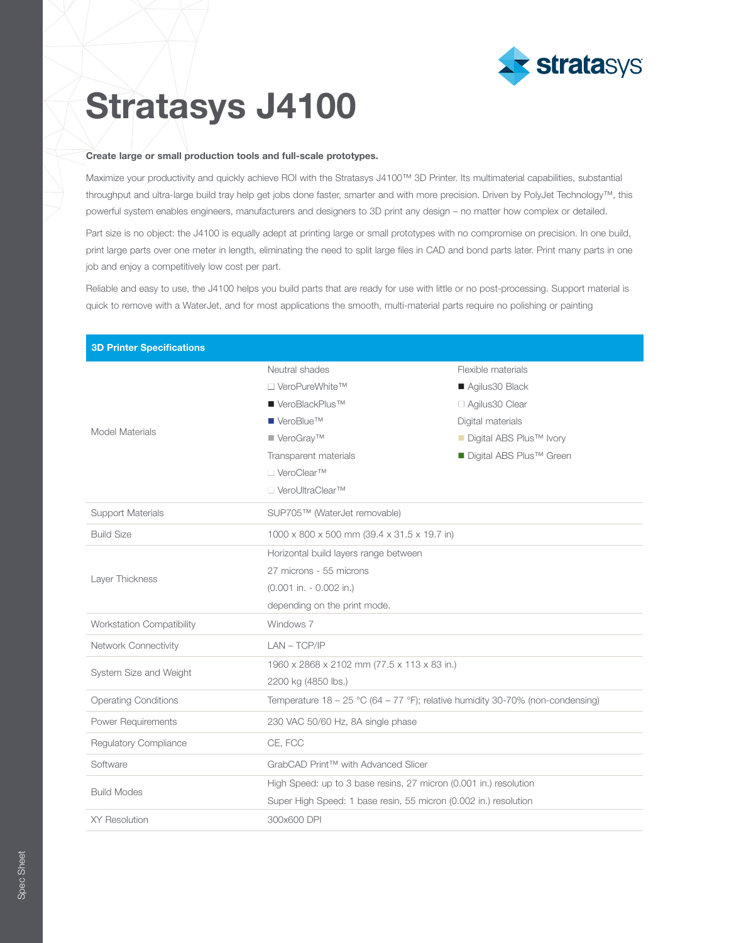

## Stratasys J4100

## Create large or small production tools and full-scale prototypes.

Maximize your productivity and quickly achieve ROI with the Stratasys J4100™ 3D Printer. Its multimaterial capabilities, substantial throughput and ultra-large build tray help get jobs done faster, smarter and with more precision. Driven by PolyJet Technology™, this powerful system enables engineers, manufacturers and designers to 3D print any design – no matter how complex or detailed.

Part size is no object: the J4100 is equally adept at printing large or small prototypes with no compromise on precision. In one build, print large parts over one meter in length, eliminating the need to split large files in CAD and bond parts later. Print many parts in one job and enjoy a competitively low cost per part.

Reliable and easy to use, the J4100 helps you build parts that are ready for use with little or no post-processing. Support material is quick to remove with a WaterJet, and for most applications the smooth, multi-material parts require no polishing or painting

| <b>3D Printer Specifications</b> |                                                                                  |                                       |
|----------------------------------|----------------------------------------------------------------------------------|---------------------------------------|
| Model Materials                  | Neutral shades                                                                   | Flexible materials                    |
|                                  | □ VeroPureWhite™                                                                 | Agilus30 Black                        |
|                                  | ■ VeroBlackPlus <sup>™</sup>                                                     | $\Box$ Agilus 30 Clear                |
|                                  | $\blacksquare$ VeroBlue <sup>TM</sup>                                            | Digital materials                     |
|                                  | ■ VeroGray™                                                                      | ■ Digital ABS Plus <sup>™</sup> Ivory |
|                                  | Transparent materials                                                            | ■ Digital ABS Plus <sup>™</sup> Green |
|                                  | □ VeroClear™                                                                     |                                       |
|                                  | □ VeroUltraClear™                                                                |                                       |
| <b>Support Materials</b>         | SUP705™ (WaterJet removable)                                                     |                                       |
| <b>Build Size</b>                | 1000 x 800 x 500 mm (39.4 x 31.5 x 19.7 in)                                      |                                       |
| Layer Thickness                  | Horizontal build layers range between                                            |                                       |
|                                  | 27 microns - 55 microns                                                          |                                       |
|                                  | $(0.001$ in. - 0.002 in.)                                                        |                                       |
|                                  | depending on the print mode.                                                     |                                       |
| <b>Workstation Compatibility</b> | Windows 7                                                                        |                                       |
| Network Connectivity             | $LAN - TCP/IP$                                                                   |                                       |
| System Size and Weight           | 1960 x 2868 x 2102 mm (77.5 x 113 x 83 in.)                                      |                                       |
|                                  | 2200 kg (4850 lbs.)                                                              |                                       |
| <b>Operating Conditions</b>      | Temperature $18 - 25$ °C (64 – 77 °F); relative humidity 30-70% (non-condensing) |                                       |
| Power Requirements               | 230 VAC 50/60 Hz, 8A single phase                                                |                                       |
| Regulatory Compliance            | CE, FCC                                                                          |                                       |
| Software                         | GrabCAD Print™ with Advanced Slicer                                              |                                       |
| <b>Build Modes</b>               | High Speed: up to 3 base resins, 27 micron (0.001 in.) resolution                |                                       |
|                                  | Super High Speed: 1 base resin, 55 micron (0.002 in.) resolution                 |                                       |
| <b>XY Resolution</b>             | 300x600 DPI                                                                      |                                       |